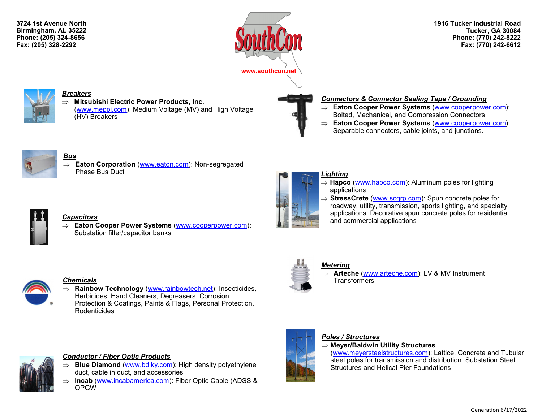**3724 1st Avenue North Birmingham, AL 35222 Phone: (205) 324-8656 Fax: (205) 328-2292**



**1916 Tucker Industrial Road Tucker, GA 30084 Phone: (770) 242-8222 Fax: (770) 242-6612**



# *Breakers*

 **Mitsubishi Electric Power Products, Inc.**  ([www.meppi.com\):](http://www.meppi.com/) Medium Voltage (MV) and High Voltage (HV) Breakers

# *Connectors & Connector Sealing Tape / Grounding*

- **Eaton Cooper Power Systems** ([www.cooperpower.com\)](http://www.cooperpower.com): Bolted, Mechanical, and Compression Connectors
- **Eaton Cooper Power Systems** ([www.cooperpower.com\)](http://www.cooperpower.com): Separable connectors, cable joints, and junctions.



#### *Bus*

 **Eaton Corporation** [\(www.eaton.com\):](http://www.eaton.com) Non-segregated Phase Bus Duct

**Eaton Cooper Power Systems** [\(www.cooperpower.com\):](http://www.cooperpower.com)



## *Lighting*

- **Hapco** ([www.hapco.com\):](http://www.hapco.com/) Aluminum poles for lighting applications
- ⇒ **StressCrete** ([www.scgrp.com\):](http://www.scgrp.com) Spun concrete poles for roadway, utility, transmission, sports lighting, and specialty applications. Decorative spun concrete poles for residential and commercial applications



#### *Chemicals*

*Capacitors*

 **Rainbow Technology** ([www.rainbowtech.net\)](http://www.rainbowtech.net): Insecticides, Herbicides, Hand Cleaners, Degreasers, Corrosion Protection & Coatings, Paints & Flags, Personal Protection, Rodenticides





# *Conductor / Fiber Optic Products*

Substation filter/capacitor banks

- $\Rightarrow$  **Blue Diamond** ([www.bdiky.com\):](http://www.bdiky.com/) High density polyethylene duct, cable in duct, and accessories
- ⇒ **Incab** ([www.incabamerica.com\):](http://www.incabamerica.com) Fiber Optic Cable (ADSS & OPGW



# *Metering*

 **Arteche** ([www.arteche.com\):](http://www.arteche.com) LV & MV Instrument **Transformers** 



# *Poles / Structures*

**Meyer/Baldwin Utility Structures**

[\(www.meyersteelstructures.com\):](http://www.meyersteelstructures.com) Lattice, Concrete and Tubular steel poles for transmission and distribution, Substation Steel Structures and Helical Pier Foundations